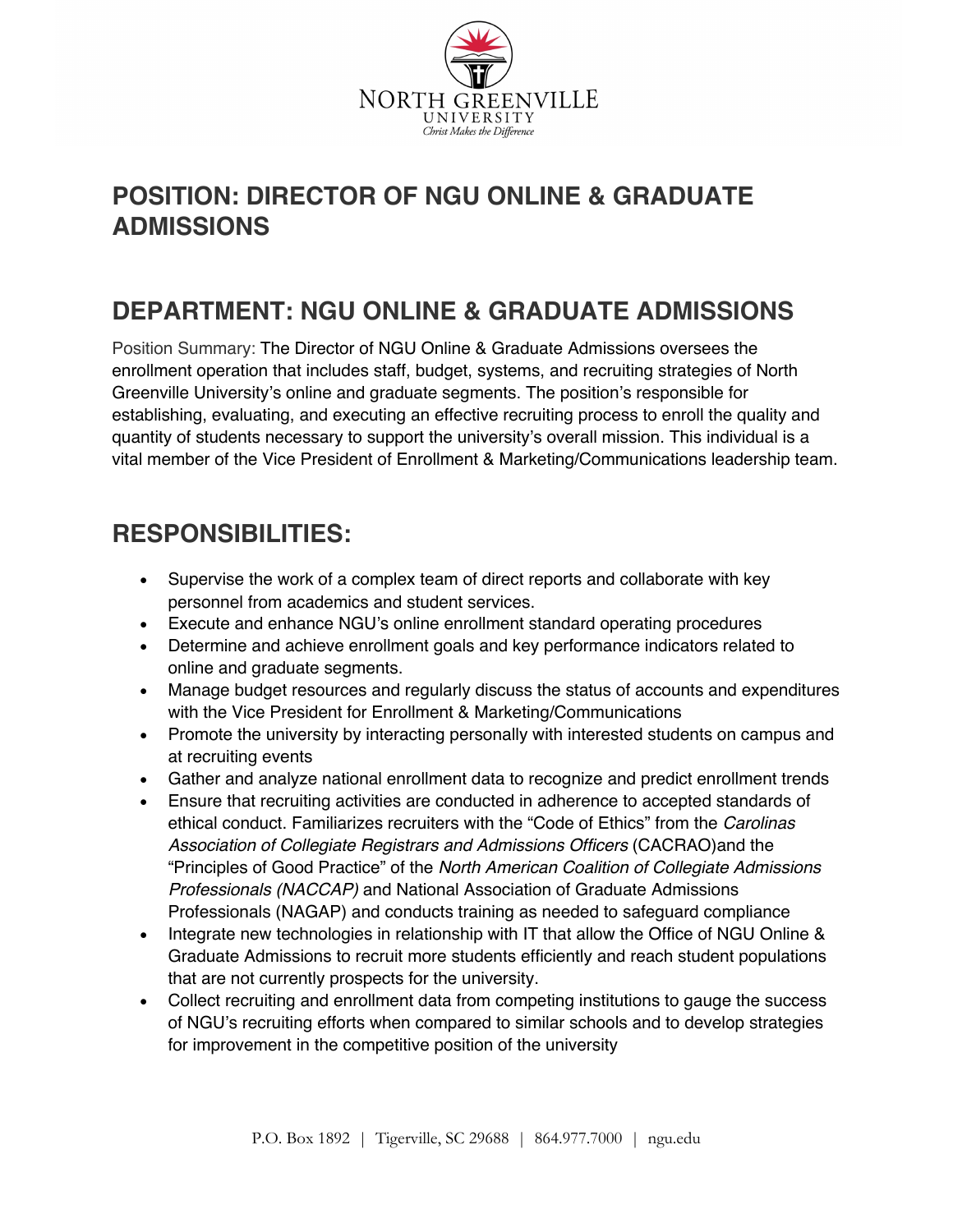

### **POSITION: DIRECTOR OF NGU ONLINE & GRADUATE ADMISSIONS**

### **DEPARTMENT: NGU ONLINE & GRADUATE ADMISSIONS**

Position Summary: The Director of NGU Online & Graduate Admissions oversees the enrollment operation that includes staff, budget, systems, and recruiting strategies of North Greenville University's online and graduate segments. The position's responsible for establishing, evaluating, and executing an effective recruiting process to enroll the quality and quantity of students necessary to support the university's overall mission. This individual is a vital member of the Vice President of Enrollment & Marketing/Communications leadership team.

#### **RESPONSIBILITIES:**

- Supervise the work of a complex team of direct reports and collaborate with key personnel from academics and student services.
- Execute and enhance NGU's online enrollment standard operating procedures
- Determine and achieve enrollment goals and key performance indicators related to online and graduate segments.
- Manage budget resources and regularly discuss the status of accounts and expenditures with the Vice President for Enrollment & Marketing/Communications
- Promote the university by interacting personally with interested students on campus and at recruiting events
- Gather and analyze national enrollment data to recognize and predict enrollment trends
- Ensure that recruiting activities are conducted in adherence to accepted standards of ethical conduct. Familiarizes recruiters with the "Code of Ethics" from the *Carolinas Association of Collegiate Registrars and Admissions Officers* (CACRAO)and the "Principles of Good Practice" of the *North American Coalition of Collegiate Admissions Professionals (NACCAP)* and National Association of Graduate Admissions Professionals (NAGAP) and conducts training as needed to safeguard compliance
- Integrate new technologies in relationship with IT that allow the Office of NGU Online & Graduate Admissions to recruit more students efficiently and reach student populations that are not currently prospects for the university.
- Collect recruiting and enrollment data from competing institutions to gauge the success of NGU's recruiting efforts when compared to similar schools and to develop strategies for improvement in the competitive position of the university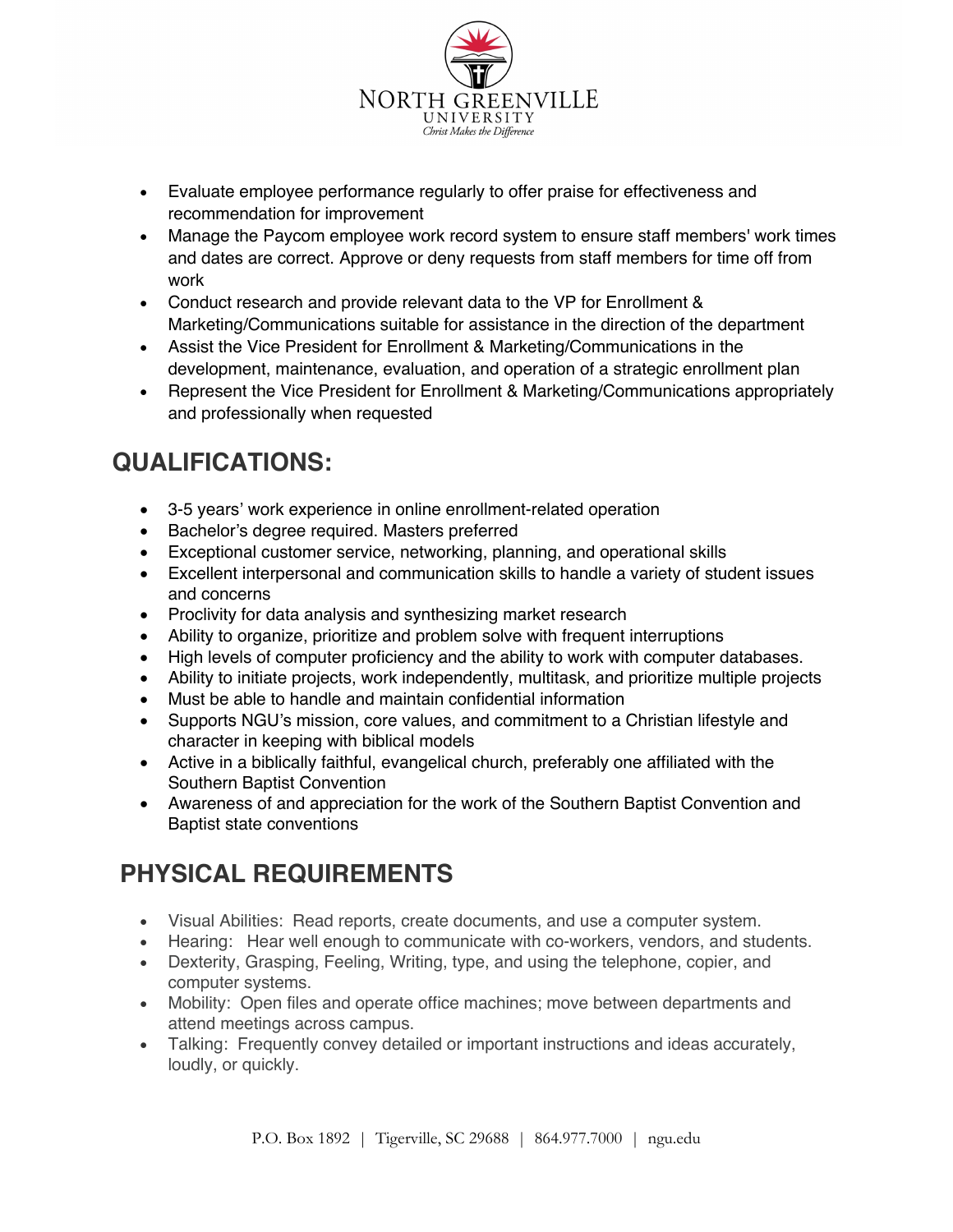

- Evaluate employee performance regularly to offer praise for effectiveness and recommendation for improvement
- Manage the Paycom employee work record system to ensure staff members' work times and dates are correct. Approve or deny requests from staff members for time off from work
- Conduct research and provide relevant data to the VP for Enrollment & Marketing/Communications suitable for assistance in the direction of the department
- Assist the Vice President for Enrollment & Marketing/Communications in the development, maintenance, evaluation, and operation of a strategic enrollment plan
- Represent the Vice President for Enrollment & Marketing/Communications appropriately and professionally when requested

## **QUALIFICATIONS:**

- 3-5 years' work experience in online enrollment-related operation
- Bachelor's degree required. Masters preferred
- Exceptional customer service, networking, planning, and operational skills
- Excellent interpersonal and communication skills to handle a variety of student issues and concerns
- Proclivity for data analysis and synthesizing market research
- Ability to organize, prioritize and problem solve with frequent interruptions
- High levels of computer proficiency and the ability to work with computer databases.
- Ability to initiate projects, work independently, multitask, and prioritize multiple projects
- Must be able to handle and maintain confidential information
- Supports NGU's mission, core values, and commitment to a Christian lifestyle and character in keeping with biblical models
- Active in a biblically faithful, evangelical church, preferably one affiliated with the Southern Baptist Convention
- Awareness of and appreciation for the work of the Southern Baptist Convention and Baptist state conventions

# **PHYSICAL REQUIREMENTS**

- Visual Abilities: Read reports, create documents, and use a computer system.
- Hearing: Hear well enough to communicate with co-workers, vendors, and students.
- Dexterity, Grasping, Feeling, Writing, type, and using the telephone, copier, and computer systems.
- Mobility: Open files and operate office machines; move between departments and attend meetings across campus.
- Talking: Frequently convey detailed or important instructions and ideas accurately, loudly, or quickly.